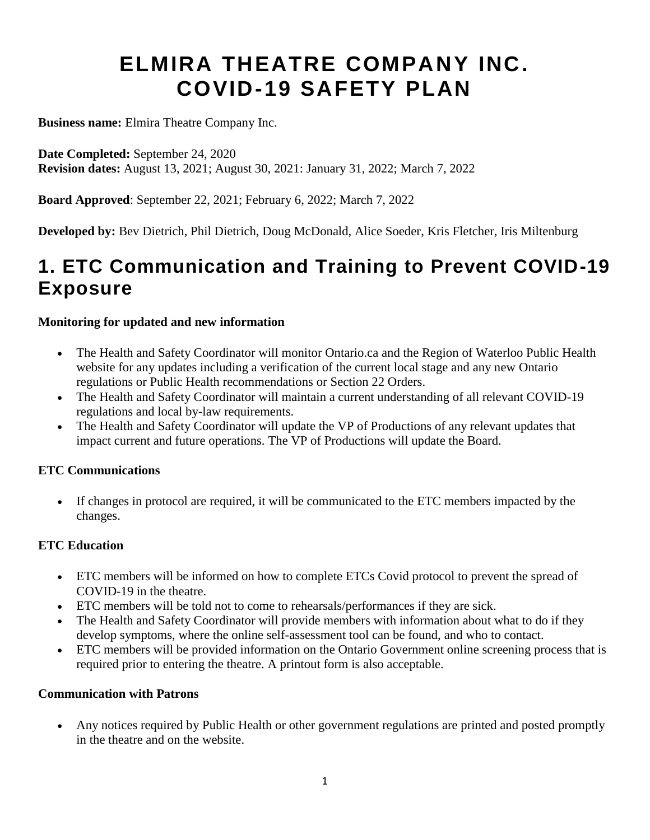# **ELMIRA THEATRE COMPANY INC. COVID-19 SAFETY PLAN**

**Business name:** Elmira Theatre Company Inc.

**Date Completed:** September 24, 2020 **Revision dates:** August 13, 2021; August 30, 2021: January 31, 2022; March 7, 2022

**Board Approved**: September 22, 2021; February 6, 2022; March 7, 2022

**Developed by:** Bev Dietrich, Phil Dietrich, Doug McDonald, Alice Soeder, Kris Fletcher, Iris Miltenburg

### **1. ETC Communication and Training to Prevent COVID-19 Exposure**

#### **Monitoring for updated and new information**

- The Health and Safety Coordinator will monitor Ontario.ca and the Region of Waterloo Public Health website for any updates including a verification of the current local stage and any new Ontario regulations or Public Health recommendations or Section 22 Orders.
- The Health and Safety Coordinator will maintain a current understanding of all relevant COVID-19 regulations and local by-law requirements.
- The Health and Safety Coordinator will update the VP of Productions of any relevant updates that impact current and future operations. The VP of Productions will update the Board.

#### **ETC Communications**

 If changes in protocol are required, it will be communicated to the ETC members impacted by the changes.

#### **ETC Education**

- ETC members will be informed on how to complete ETCs Covid protocol to prevent the spread of COVID-19 in the theatre.
- ETC members will be told not to come to rehearsals/performances if they are sick.
- The Health and Safety Coordinator will provide members with information about what to do if they develop symptoms, where the online self-assessment tool can be found, and who to contact.
- ETC members will be provided information on the Ontario Government online screening process that is required prior to entering the theatre. A printout form is also acceptable.

#### **Communication with Patrons**

 Any notices required by Public Health or other government regulations are printed and posted promptly in the theatre and on the website.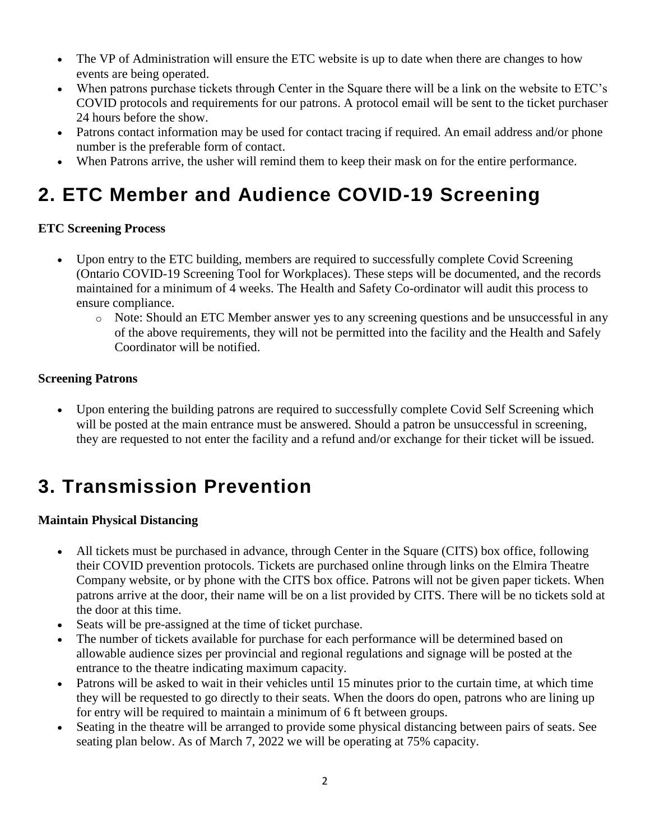- The VP of Administration will ensure the ETC website is up to date when there are changes to how events are being operated.
- When patrons purchase tickets through Center in the Square there will be a link on the website to ETC's COVID protocols and requirements for our patrons. A protocol email will be sent to the ticket purchaser 24 hours before the show.
- Patrons contact information may be used for contact tracing if required. An email address and/or phone number is the preferable form of contact.
- When Patrons arrive, the usher will remind them to keep their mask on for the entire performance.

## **2. ETC Member and Audience COVID-19 Screening**

#### **ETC Screening Process**

- Upon entry to the ETC building, members are required to successfully complete Covid Screening (Ontario COVID-19 Screening Tool for Workplaces). These steps will be documented, and the records maintained for a minimum of 4 weeks. The Health and Safety Co-ordinator will audit this process to ensure compliance.
	- o Note: Should an ETC Member answer yes to any screening questions and be unsuccessful in any of the above requirements, they will not be permitted into the facility and the Health and Safely Coordinator will be notified.

#### **Screening Patrons**

 Upon entering the building patrons are required to successfully complete Covid Self Screening which will be posted at the main entrance must be answered. Should a patron be unsuccessful in screening, they are requested to not enter the facility and a refund and/or exchange for their ticket will be issued.

### **3. Transmission Prevention**

#### **Maintain Physical Distancing**

- All tickets must be purchased in advance, through Center in the Square (CITS) box office, following their COVID prevention protocols. Tickets are purchased online through links on the Elmira Theatre Company website, or by phone with the CITS box office. Patrons will not be given paper tickets. When patrons arrive at the door, their name will be on a list provided by CITS. There will be no tickets sold at the door at this time.
- Seats will be pre-assigned at the time of ticket purchase.
- The number of tickets available for purchase for each performance will be determined based on allowable audience sizes per provincial and regional regulations and signage will be posted at the entrance to the theatre indicating maximum capacity.
- Patrons will be asked to wait in their vehicles until 15 minutes prior to the curtain time, at which time they will be requested to go directly to their seats. When the doors do open, patrons who are lining up for entry will be required to maintain a minimum of 6 ft between groups.
- Seating in the theatre will be arranged to provide some physical distancing between pairs of seats. See seating plan below. As of March 7, 2022 we will be operating at 75% capacity.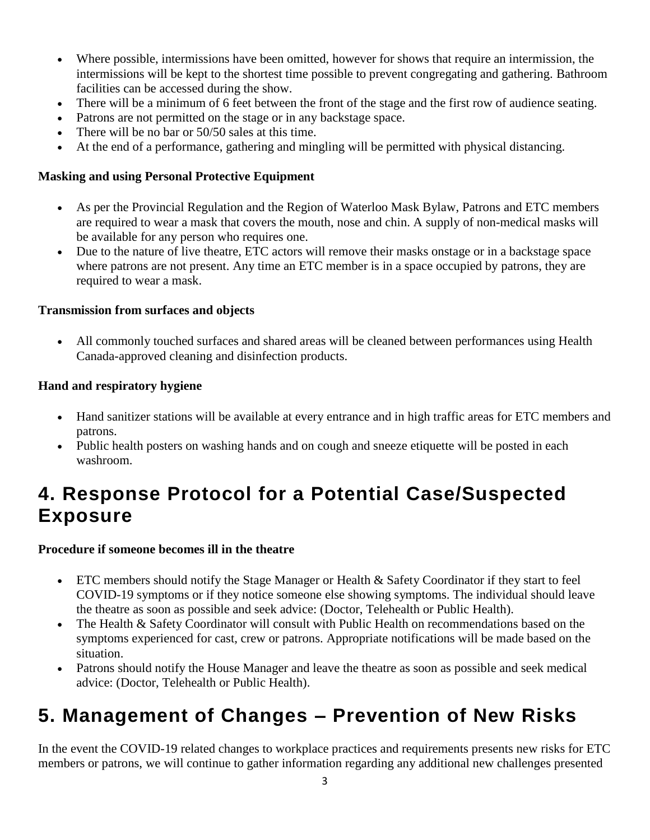- Where possible, intermissions have been omitted, however for shows that require an intermission, the intermissions will be kept to the shortest time possible to prevent congregating and gathering. Bathroom facilities can be accessed during the show.
- There will be a minimum of 6 feet between the front of the stage and the first row of audience seating.
- Patrons are not permitted on the stage or in any backstage space.
- There will be no bar or 50/50 sales at this time.
- At the end of a performance, gathering and mingling will be permitted with physical distancing.

#### **Masking and using Personal Protective Equipment**

- As per the Provincial Regulation and the Region of Waterloo Mask Bylaw, Patrons and ETC members are required to wear a mask that covers the mouth, nose and chin. A supply of non-medical masks will be available for any person who requires one.
- Due to the nature of live theatre, ETC actors will remove their masks onstage or in a backstage space where patrons are not present. Any time an ETC member is in a space occupied by patrons, they are required to wear a mask.

#### **Transmission from surfaces and objects**

 All commonly touched surfaces and shared areas will be cleaned between performances using Health Canada-approved cleaning and disinfection products.

#### **Hand and respiratory hygiene**

- Hand sanitizer stations will be available at every entrance and in high traffic areas for ETC members and patrons.
- Public health posters on washing hands and on cough and sneeze etiquette will be posted in each washroom.

### **4. Response Protocol for a Potential Case/Suspected Exposure**

#### **Procedure if someone becomes ill in the theatre**

- ETC members should notify the Stage Manager or Health & Safety Coordinator if they start to feel COVID-19 symptoms or if they notice someone else showing symptoms. The individual should leave the theatre as soon as possible and seek advice: (Doctor, Telehealth or Public Health).
- The Health & Safety Coordinator will consult with Public Health on recommendations based on the symptoms experienced for cast, crew or patrons. Appropriate notifications will be made based on the situation.
- Patrons should notify the House Manager and leave the theatre as soon as possible and seek medical advice: (Doctor, Telehealth or Public Health).

### **5. Management of Changes – Prevention of New Risks**

In the event the COVID-19 related changes to workplace practices and requirements presents new risks for ETC members or patrons, we will continue to gather information regarding any additional new challenges presented